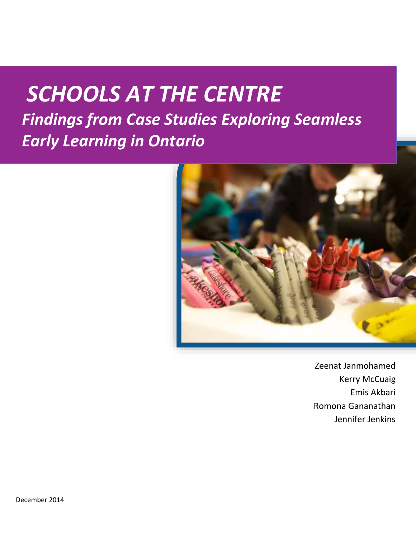# *SCHOOLS AT THE CENTRE Findings from Case Studies Exploring Seamless Early Learning in Ontario*



Zeenat Janmohamed Kerry McCuaig Emis Akbari Romona Gananathan Jennifer Jenkins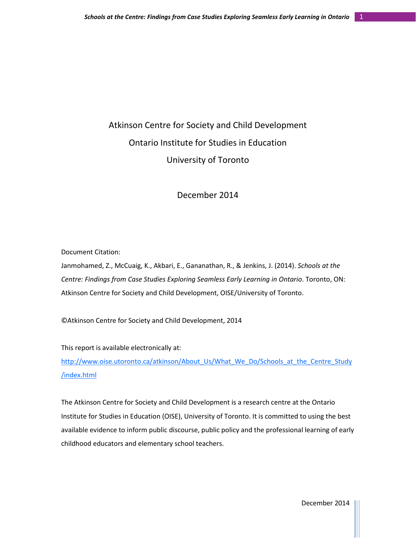# Atkinson Centre for Society and Child Development Ontario Institute for Studies in Education University of Toronto

# December 2014

Document Citation:

Janmohamed, Z., McCuaig, K., Akbari, E., Gananathan, R., & Jenkins, J. (2014). *Schools at the Centre: Findings from Case Studies Exploring Seamless Early Learning in Ontario*. Toronto, ON: Atkinson Centre for Society and Child Development, OISE/University of Toronto.

©Atkinson Centre for Society and Child Development, 2014

This report is available electronically at:

[http://www.oise.utoronto.ca/atkinson/About\\_Us/What\\_We\\_Do/Schools\\_at\\_the\\_Centre\\_Study](http://www.oise.utoronto.ca/atkinson/About_Us/What_We_Do/Schools_at_the_Centre_Study/index.html) [/index.html](http://www.oise.utoronto.ca/atkinson/About_Us/What_We_Do/Schools_at_the_Centre_Study/index.html)

The Atkinson Centre for Society and Child Development is a research centre at the Ontario Institute for Studies in Education (OISE), University of Toronto. It is committed to using the best available evidence to inform public discourse, public policy and the professional learning of early childhood educators and elementary school teachers.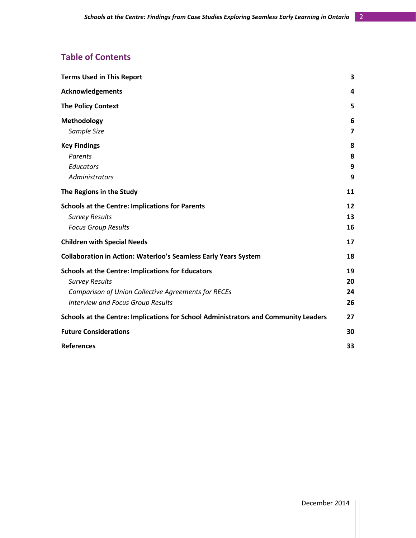# **Table of Contents**

| <b>Terms Used in This Report</b>                                                                                                                                                            | 3                    |
|---------------------------------------------------------------------------------------------------------------------------------------------------------------------------------------------|----------------------|
| <b>Acknowledgements</b>                                                                                                                                                                     | 4                    |
| <b>The Policy Context</b>                                                                                                                                                                   | 5                    |
| Methodology<br>Sample Size                                                                                                                                                                  | 6<br>$\overline{7}$  |
| <b>Key Findings</b><br><b>Parents</b><br><b>Educators</b><br><b>Administrators</b>                                                                                                          | 8<br>8<br>9<br>9     |
| The Regions in the Study                                                                                                                                                                    | 11                   |
| <b>Schools at the Centre: Implications for Parents</b><br><b>Survey Results</b><br><b>Focus Group Results</b>                                                                               | 12<br>13<br>16       |
| <b>Children with Special Needs</b>                                                                                                                                                          | 17                   |
| <b>Collaboration in Action: Waterloo's Seamless Early Years System</b>                                                                                                                      | 18                   |
| <b>Schools at the Centre: Implications for Educators</b><br><b>Survey Results</b><br><b>Comparison of Union Collective Agreements for RECEs</b><br><b>Interview and Focus Group Results</b> | 19<br>20<br>24<br>26 |
| Schools at the Centre: Implications for School Administrators and Community Leaders                                                                                                         | 27                   |
| <b>Future Considerations</b>                                                                                                                                                                | 30                   |
| <b>References</b>                                                                                                                                                                           | 33                   |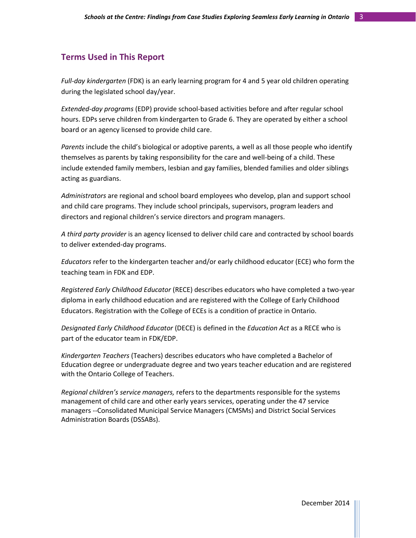#### **Terms Used in This Report**

*Full-day kindergarten* (FDK) is an early learning program for 4 and 5 year old children operating during the legislated school day/year.

*Extended-day programs* (EDP) provide school-based activities before and after regular school hours. EDPs serve children from kindergarten to Grade 6. They are operated by either a school board or an agency licensed to provide child care.

*Parents* include the child's biological or adoptive parents, a well as all those people who identify themselves as parents by taking responsibility for the care and well-being of a child. These include extended family members, lesbian and gay families, blended families and older siblings acting as guardians.

*Administrators* are regional and school board employees who develop, plan and support school and child care programs. They include school principals, supervisors, program leaders and directors and regional children's service directors and program managers.

*A third party provider* is an agency licensed to deliver child care and contracted by school boards to deliver extended-day programs.

*Educators* refer to the kindergarten teacher and/or early childhood educator (ECE) who form the teaching team in FDK and EDP.

*Registered Early Childhood Educator* (RECE) describes educators who have completed a two-year diploma in early childhood education and are registered with the College of Early Childhood Educators. Registration with the College of ECEs is a condition of practice in Ontario.

*Designated Early Childhood Educator* (DECE) is defined in the *Education Act* as a RECE who is part of the educator team in FDK/EDP.

*Kindergarten Teachers* (Teachers) describes educators who have completed a Bachelor of Education degree or undergraduate degree and two years teacher education and are registered with the Ontario College of Teachers.

*Regional children's service managers,* refers to the departments responsible for the systems management of child care and other early years services, operating under the 47 service managers --Consolidated Municipal Service Managers (CMSMs) and District Social Services Administration Boards (DSSABs).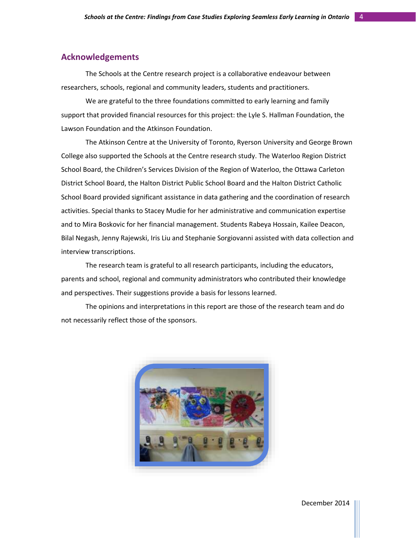# **Acknowledgements**

The Schools at the Centre research project is a collaborative endeavour between researchers, schools, regional and community leaders, students and practitioners.

We are grateful to the three foundations committed to early learning and family support that provided financial resources for this project: the Lyle S. Hallman Foundation, the Lawson Foundation and the Atkinson Foundation.

The Atkinson Centre at the University of Toronto, Ryerson University and George Brown College also supported the Schools at the Centre research study. The Waterloo Region District School Board, the Children's Services Division of the Region of Waterloo, the Ottawa Carleton District School Board, the Halton District Public School Board and the Halton District Catholic School Board provided significant assistance in data gathering and the coordination of research activities. Special thanks to Stacey Mudie for her administrative and communication expertise and to Mira Boskovic for her financial management. Students Rabeya Hossain, Kailee Deacon, Bilal Negash, Jenny Rajewski, Iris Liu and Stephanie Sorgiovanni assisted with data collection and interview transcriptions.

The research team is grateful to all research participants, including the educators, parents and school, regional and community administrators who contributed their knowledge and perspectives. Their suggestions provide a basis for lessons learned.

The opinions and interpretations in this report are those of the research team and do not necessarily reflect those of the sponsors.

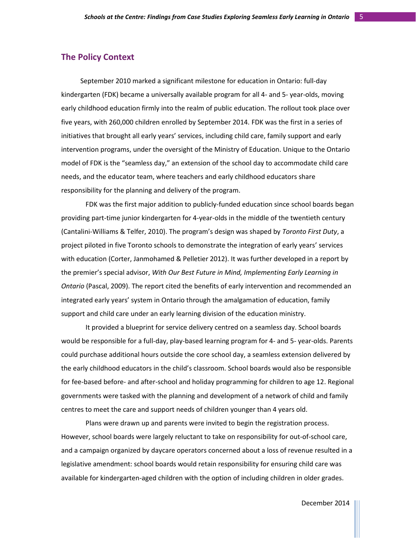# **The Policy Context**

September 2010 marked a significant milestone for education in Ontario: full-day kindergarten (FDK) became a universally available program for all 4- and 5- year-olds, moving early childhood education firmly into the realm of public education. The rollout took place over five years, with 260,000 children enrolled by September 2014. FDK was the first in a series of initiatives that brought all early years' services, including child care, family support and early intervention programs, under the oversight of the Ministry of Education. Unique to the Ontario model of FDK is the "seamless day," an extension of the school day to accommodate child care needs, and the educator team, where teachers and early childhood educators share responsibility for the planning and delivery of the program.

FDK was the first major addition to publicly-funded education since school boards began providing part-time junior kindergarten for 4-year-olds in the middle of the twentieth century (Cantalini-Williams & Telfer, 2010). The program's design was shaped by *Toronto First Duty*, a project piloted in five Toronto schools to demonstrate the integration of early years' services with education (Corter, Janmohamed & Pelletier 2012). It was further developed in a report by the premier's special advisor, *With Our Best Future in Mind, Implementing Early Learning in Ontario* (Pascal, 2009). The report cited the benefits of early intervention and recommended an integrated early years' system in Ontario through the amalgamation of education, family support and child care under an early learning division of the education ministry.

It provided a blueprint for service delivery centred on a seamless day. School boards would be responsible for a full-day, play-based learning program for 4- and 5- year-olds. Parents could purchase additional hours outside the core school day, a seamless extension delivered by the early childhood educators in the child's classroom. School boards would also be responsible for fee-based before- and after-school and holiday programming for children to age 12. Regional governments were tasked with the planning and development of a network of child and family centres to meet the care and support needs of children younger than 4 years old.

Plans were drawn up and parents were invited to begin the registration process. However, school boards were largely reluctant to take on responsibility for out-of-school care, and a campaign organized by daycare operators concerned about a loss of revenue resulted in a legislative amendment: school boards would retain responsibility for ensuring child care was available for kindergarten-aged children with the option of including children in older grades.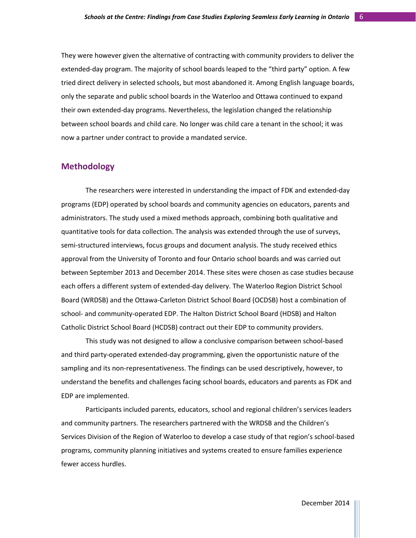They were however given the alternative of contracting with community providers to deliver the extended-day program. The majority of school boards leaped to the "third party" option. A few tried direct delivery in selected schools, but most abandoned it. Among English language boards, only the separate and public school boards in the Waterloo and Ottawa continued to expand their own extended-day programs. Nevertheless, the legislation changed the relationship between school boards and child care. No longer was child care a tenant in the school; it was now a partner under contract to provide a mandated service.

# **Methodology**

The researchers were interested in understanding the impact of FDK and extended-day programs (EDP) operated by school boards and community agencies on educators, parents and administrators. The study used a mixed methods approach, combining both qualitative and quantitative tools for data collection. The analysis was extended through the use of surveys, semi-structured interviews, focus groups and document analysis. The study received ethics approval from the University of Toronto and four Ontario school boards and was carried out between September 2013 and December 2014. These sites were chosen as case studies because each offers a different system of extended-day delivery. The Waterloo Region District School Board (WRDSB) and the Ottawa-Carleton District School Board (OCDSB) host a combination of school- and community-operated EDP. The Halton District School Board (HDSB) and Halton Catholic District School Board (HCDSB) contract out their EDP to community providers.

This study was not designed to allow a conclusive comparison between school-based and third party-operated extended-day programming, given the opportunistic nature of the sampling and its non-representativeness. The findings can be used descriptively, however, to understand the benefits and challenges facing school boards, educators and parents as FDK and EDP are implemented.

Participants included parents, educators, school and regional children's services leaders and community partners. The researchers partnered with the WRDSB and the Children's Services Division of the Region of Waterloo to develop a case study of that region's school-based programs, community planning initiatives and systems created to ensure families experience fewer access hurdles.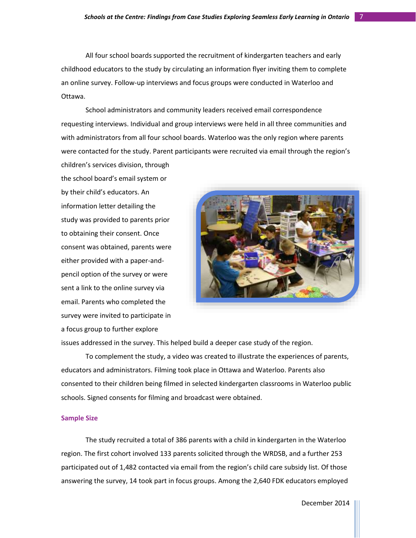All four school boards supported the recruitment of kindergarten teachers and early childhood educators to the study by circulating an information flyer inviting them to complete an online survey. Follow-up interviews and focus groups were conducted in Waterloo and Ottawa.

School administrators and community leaders received email correspondence requesting interviews. Individual and group interviews were held in all three communities and with administrators from all four school boards. Waterloo was the only region where parents were contacted for the study. Parent participants were recruited via email through the region's children's services division, through

the school board's email system or by their child's educators. An information letter detailing the study was provided to parents prior to obtaining their consent. Once consent was obtained, parents were either provided with a paper-andpencil option of the survey or were sent a link to the online survey via email. Parents who completed the survey were invited to participate in a focus group to further explore



issues addressed in the survey. This helped build a deeper case study of the region.

To complement the study, a video was created to illustrate the experiences of parents, educators and administrators. Filming took place in Ottawa and Waterloo. Parents also consented to their children being filmed in selected kindergarten classrooms in Waterloo public schools. Signed consents for filming and broadcast were obtained.

#### **Sample Size**

The study recruited a total of 386 parents with a child in kindergarten in the Waterloo region. The first cohort involved 133 parents solicited through the WRDSB, and a further 253 participated out of 1,482 contacted via email from the region's child care subsidy list. Of those answering the survey, 14 took part in focus groups. Among the 2,640 FDK educators employed

December 2014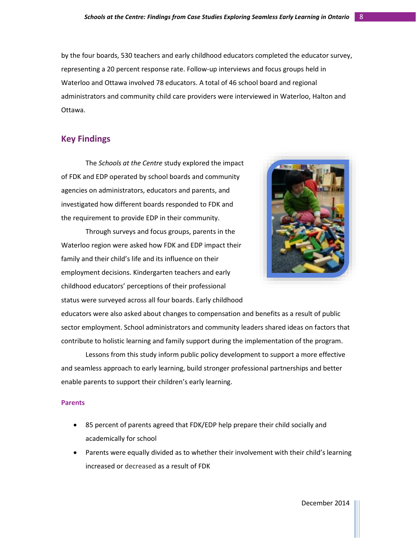by the four boards, 530 teachers and early childhood educators completed the educator survey, representing a 20 percent response rate. Follow-up interviews and focus groups held in Waterloo and Ottawa involved 78 educators. A total of 46 school board and regional administrators and community child care providers were interviewed in Waterloo, Halton and Ottawa.

# **Key Findings**

The *Schools at the Centre* study explored the impact of FDK and EDP operated by school boards and community agencies on administrators, educators and parents, and investigated how different boards responded to FDK and the requirement to provide EDP in their community.





educators were also asked about changes to compensation and benefits as a result of public sector employment. School administrators and community leaders shared ideas on factors that contribute to holistic learning and family support during the implementation of the program.

Lessons from this study inform public policy development to support a more effective and seamless approach to early learning, build stronger professional partnerships and better enable parents to support their children's early learning.

#### **Parents**

- 85 percent of parents agreed that FDK/EDP help prepare their child socially and academically for school
- Parents were equally divided as to whether their involvement with their child's learning increased or decreased as a result of FDK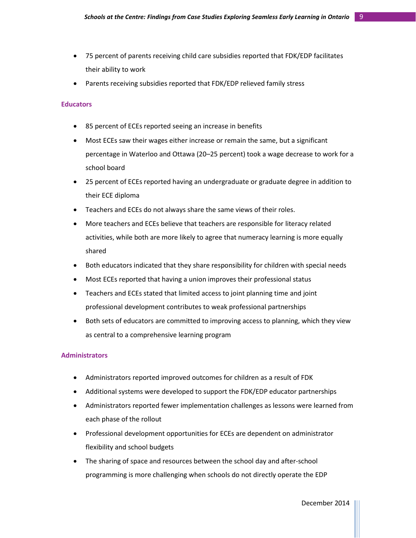- 75 percent of parents receiving child care subsidies reported that FDK/EDP facilitates their ability to work
- Parents receiving subsidies reported that FDK/EDP relieved family stress

#### **Educators**

- 85 percent of ECEs reported seeing an increase in benefits
- Most ECEs saw their wages either increase or remain the same, but a significant percentage in Waterloo and Ottawa (20–25 percent) took a wage decrease to work for a school board
- 25 percent of ECEs reported having an undergraduate or graduate degree in addition to their ECE diploma
- Teachers and ECEs do not always share the same views of their roles.
- More teachers and ECEs believe that teachers are responsible for literacy related activities, while both are more likely to agree that numeracy learning is more equally shared
- Both educators indicated that they share responsibility for children with special needs
- Most ECEs reported that having a union improves their professional status
- Teachers and ECEs stated that limited access to joint planning time and joint professional development contributes to weak professional partnerships
- Both sets of educators are committed to improving access to planning, which they view as central to a comprehensive learning program

#### **Administrators**

- Administrators reported improved outcomes for children as a result of FDK
- Additional systems were developed to support the FDK/EDP educator partnerships
- Administrators reported fewer implementation challenges as lessons were learned from each phase of the rollout
- Professional development opportunities for ECEs are dependent on administrator flexibility and school budgets
- The sharing of space and resources between the school day and after-school programming is more challenging when schools do not directly operate the EDP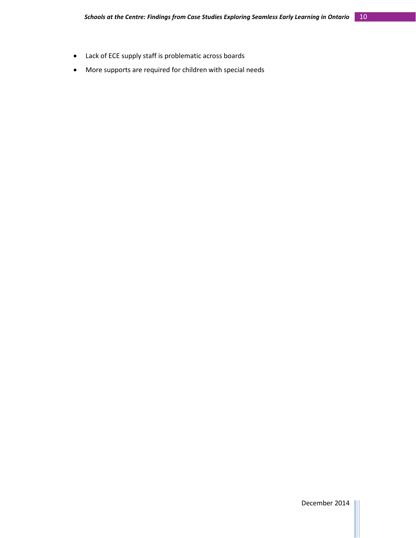- Lack of ECE supply staff is problematic across boards
- More supports are required for children with special needs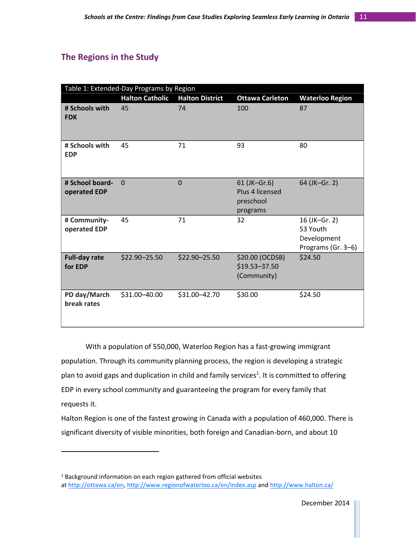# **The Regions in the Study**

 $\overline{\phantom{a}}$ 

| Table 1: Extended-Day Programs by Region |                        |                        |                                                          |                                                                |  |  |
|------------------------------------------|------------------------|------------------------|----------------------------------------------------------|----------------------------------------------------------------|--|--|
|                                          | <b>Halton Catholic</b> | <b>Halton District</b> | <b>Ottawa Carleton</b>                                   | <b>Waterloo Region</b>                                         |  |  |
| # Schools with<br><b>FDK</b>             | 45                     | 74                     | 100                                                      | 87                                                             |  |  |
| # Schools with<br><b>EDP</b>             | 45                     | 71                     | 93                                                       | 80                                                             |  |  |
| # School board-<br>operated EDP          | $\Omega$               | $\overline{0}$         | 61 (JK-Gr.6)<br>Plus 4 licensed<br>preschool<br>programs | 64 (JK-Gr. 2)                                                  |  |  |
| # Community-<br>operated EDP             | 45                     | 71                     | 32                                                       | 16 (JK-Gr. 2)<br>53 Youth<br>Development<br>Programs (Gr. 3-6) |  |  |
| <b>Full-day rate</b><br>for EDP          | \$22.90-25.50          | \$22.90-25.50          | \$20.00 (OCDSB)<br>\$19.53-37.50<br>(Community)          | \$24.50                                                        |  |  |
| PD day/March<br>break rates              | \$31.00-40.00          | \$31.00-42.70          | \$30.00                                                  | \$24.50                                                        |  |  |

With a population of 550,000, Waterloo Region has a fast-growing immigrant population. Through its community planning process, the region is developing a strategic plan to avoid gaps and duplication in child and family services<sup>1</sup>. It is committed to offering EDP in every school community and guaranteeing the program for every family that requests it.

Halton Region is one of the fastest growing in Canada with a population of 460,000. There is significant diversity of visible minorities, both foreign and Canadian-born, and about 10

 $1$  Background information on each region gathered from official websites at [http://ottawa.ca/en,](http://ottawa.ca/en) <http://www.regionofwaterloo.ca/en/index.asp> and <http://www.halton.ca/>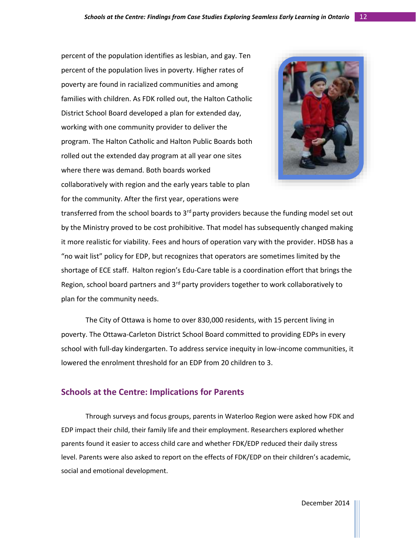percent of the population identifies as lesbian, and gay. Ten percent of the population lives in poverty. Higher rates of poverty are found in racialized communities and among families with children. As FDK rolled out, the Halton Catholic District School Board developed a plan for extended day, working with one community provider to deliver the program. The Halton Catholic and Halton Public Boards both rolled out the extended day program at all year one sites where there was demand. Both boards worked collaboratively with region and the early years table to plan for the community. After the first year, operations were



transferred from the school boards to  $3<sup>rd</sup>$  party providers because the funding model set out by the Ministry proved to be cost prohibitive. That model has subsequently changed making it more realistic for viability. Fees and hours of operation vary with the provider. HDSB has a "no wait list" policy for EDP, but recognizes that operators are sometimes limited by the shortage of ECE staff. Halton region's Edu-Care table is a coordination effort that brings the Region, school board partners and  $3<sup>rd</sup>$  party providers together to work collaboratively to plan for the community needs.

The City of Ottawa is home to over 830,000 residents, with 15 percent living in poverty. The Ottawa-Carleton District School Board committed to providing EDPs in every school with full-day kindergarten. To address service inequity in low-income communities, it lowered the enrolment threshold for an EDP from 20 children to 3.

# **Schools at the Centre: Implications for Parents**

Through surveys and focus groups, parents in Waterloo Region were asked how FDK and EDP impact their child, their family life and their employment. Researchers explored whether parents found it easier to access child care and whether FDK/EDP reduced their daily stress level. Parents were also asked to report on the effects of FDK/EDP on their children's academic, social and emotional development.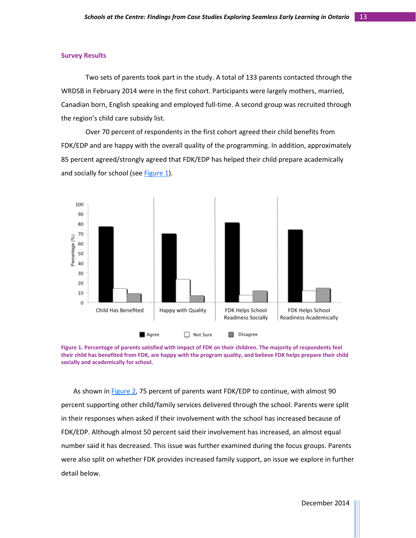#### **Survey Results**

Two sets of parents took part in the study. A total of 133 parents contacted through the WRDSB in February 2014 were in the first cohort. Participants were largely mothers, married, Canadian born, English speaking and employed full-time. A second group was recruited through the region's child care subsidy list.

Over 70 percent of respondents in the first cohort agreed their child benefits from FDK/EDP and are happy with the overall quality of the programming. In addition, approximately 85 percent agreed/strongly agreed that FDK/EDP has helped their child prepare academically and socially for school (see [Figure 1\)](#page-13-0).



<span id="page-13-0"></span>

As shown in [Figure 2,](#page-14-0) 75 percent of parents want FDK/EDP to continue, with almost 90 percent supporting other child/family services delivered through the school. Parents were split in their responses when asked if their involvement with the school has increased because of FDK/EDP. Although almost 50 percent said their involvement has increased, an almost equal number said it has decreased. This issue was further examined during the focus groups. Parents were also split on whether FDK provides increased family support, an issue we explore in further detail below.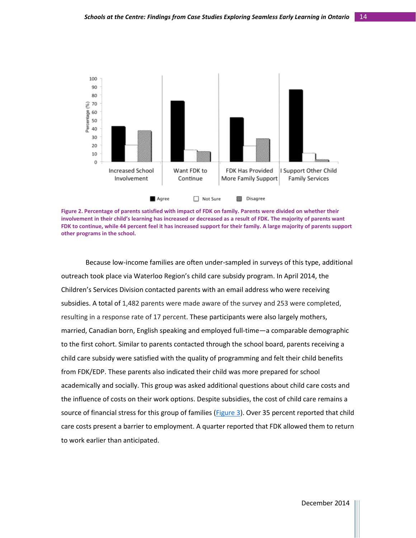

<span id="page-14-0"></span>**Figure 2. Percentage of parents satisfied with impact of FDK on family. Parents were divided on whether their involvement in their child's learning has increased or decreased as a result of FDK. The majority of parents want FDK to continue, while 44 percent feel it has increased support for their family. A large majority of parents support other programs in the school.**

Because low-income families are often under-sampled in surveys of this type, additional outreach took place via Waterloo Region's child care subsidy program. In April 2014, the Children's Services Division contacted parents with an email address who were receiving subsidies. A total of 1,482 parents were made aware of the survey and 253 were completed, resulting in a response rate of 17 percent. These participants were also largely mothers, married, Canadian born, English speaking and employed full-time—a comparable demographic to the first cohort. Similar to parents contacted through the school board, parents receiving a child care subsidy were satisfied with the quality of programming and felt their child benefits from FDK/EDP. These parents also indicated their child was more prepared for school academically and socially. This group was asked additional questions about child care costs and the influence of costs on their work options. Despite subsidies, the cost of child care remains a source of financial stress for this group of families [\(Figure 3\)](#page-15-0). Over 35 percent reported that child care costs present a barrier to employment. A quarter reported that FDK allowed them to return to work earlier than anticipated.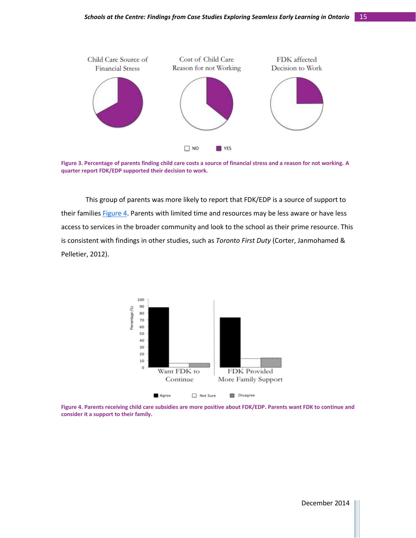

<span id="page-15-0"></span>**Figure 3. Percentage of parents finding child care costs a source of financial stress and a reason for not working. A quarter report FDK/EDP supported their decision to work.**

This group of parents was more likely to report that FDK/EDP is a source of support to their families Figure 4. Parents with limited time and resources may be less aware or have less access to services in the broader community and look to the school as their prime resource. This is consistent with findings in other studies, such as *Toronto First Duty* (Corter, Janmohamed & Pelletier, 2012).



<span id="page-15-1"></span>**Figure 4. Parents receiving child care subsidies are more positive about FDK/EDP. Parents want FDK to continue and consider it a support to their family.**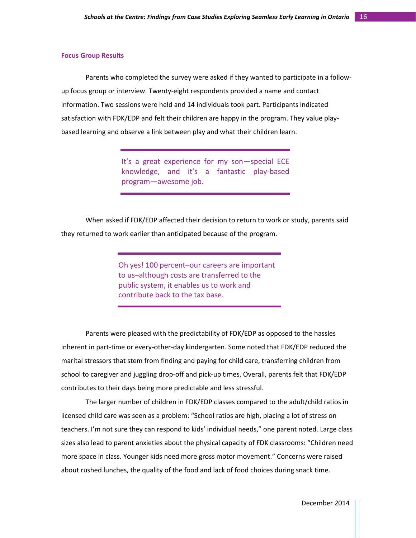#### **Focus Group Results**

Parents who completed the survey were asked if they wanted to participate in a followup focus group or interview. Twenty-eight respondents provided a name and contact information. Two sessions were held and 14 individuals took part. Participants indicated satisfaction with FDK/EDP and felt their children are happy in the program. They value playbased learning and observe a link between play and what their children learn.

> It's a great experience for my son—special ECE knowledge, and it's a fantastic play-based program—awesome job.

When asked if FDK/EDP affected their decision to return to work or study, parents said they returned to work earlier than anticipated because of the program.

> Oh yes! 100 percent–our careers are important to us–although costs are transferred to the public system, it enables us to work and contribute back to the tax base.

Parents were pleased with the predictability of FDK/EDP as opposed to the hassles inherent in part-time or every-other-day kindergarten. Some noted that FDK/EDP reduced the marital stressors that stem from finding and paying for child care, transferring children from school to caregiver and juggling drop-off and pick-up times. Overall, parents felt that FDK/EDP contributes to their days being more predictable and less stressful.

The larger number of children in FDK/EDP classes compared to the adult/child ratios in licensed child care was seen as a problem: "School ratios are high, placing a lot of stress on teachers. I'm not sure they can respond to kids' individual needs," one parent noted. Large class sizes also lead to parent anxieties about the physical capacity of FDK classrooms: "Children need more space in class. Younger kids need more gross motor movement." Concerns were raised about rushed lunches, the quality of the food and lack of food choices during snack time.

December 2014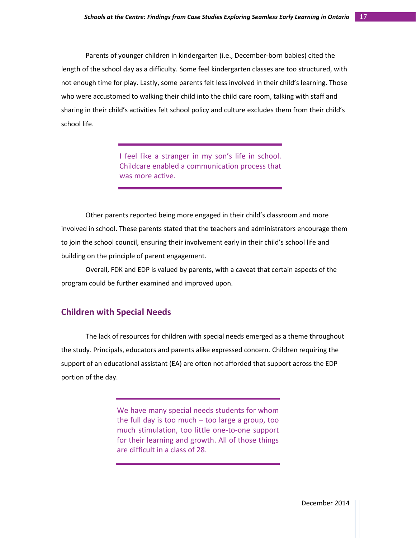Parents of younger children in kindergarten (i.e., December-born babies) cited the length of the school day as a difficulty. Some feel kindergarten classes are too structured, with not enough time for play. Lastly, some parents felt less involved in their child's learning. Those who were accustomed to walking their child into the child care room, talking with staff and sharing in their child's activities felt school policy and culture excludes them from their child's school life.

> I feel like a stranger in my son's life in school. Childcare enabled a communication process that was more active.

Other parents reported being more engaged in their child's classroom and more involved in school. These parents stated that the teachers and administrators encourage them to join the school council, ensuring their involvement early in their child's school life and building on the principle of parent engagement.

Overall, FDK and EDP is valued by parents, with a caveat that certain aspects of the program could be further examined and improved upon.

# **Children with Special Needs**

The lack of resources for children with special needs emerged as a theme throughout the study. Principals, educators and parents alike expressed concern. Children requiring the support of an educational assistant (EA) are often not afforded that support across the EDP portion of the day.

> We have many special needs students for whom the full day is too much  $-$  too large a group, too much stimulation, too little one-to-one support for their learning and growth. All of those things are difficult in a class of 28.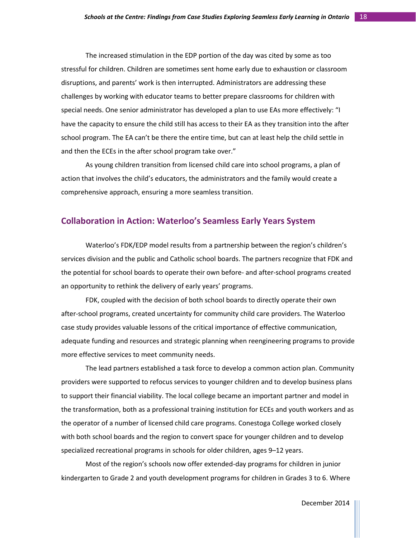The increased stimulation in the EDP portion of the day was cited by some as too stressful for children. Children are sometimes sent home early due to exhaustion or classroom disruptions, and parents' work is then interrupted. Administrators are addressing these challenges by working with educator teams to better prepare classrooms for children with special needs. One senior administrator has developed a plan to use EAs more effectively: "I have the capacity to ensure the child still has access to their EA as they transition into the after school program. The EA can't be there the entire time, but can at least help the child settle in and then the ECEs in the after school program take over."

As young children transition from licensed child care into school programs, a plan of action that involves the child's educators, the administrators and the family would create a comprehensive approach, ensuring a more seamless transition.

# **Collaboration in Action: Waterloo's Seamless Early Years System**

Waterloo's FDK/EDP model results from a partnership between the region's children's services division and the public and Catholic school boards. The partners recognize that FDK and the potential for school boards to operate their own before- and after-school programs created an opportunity to rethink the delivery of early years' programs.

FDK, coupled with the decision of both school boards to directly operate their own after-school programs, created uncertainty for community child care providers. The Waterloo case study provides valuable lessons of the critical importance of effective communication, adequate funding and resources and strategic planning when reengineering programs to provide more effective services to meet community needs.

The lead partners established a task force to develop a common action plan. Community providers were supported to refocus services to younger children and to develop business plans to support their financial viability. The local college became an important partner and model in the transformation, both as a professional training institution for ECEs and youth workers and as the operator of a number of licensed child care programs. Conestoga College worked closely with both school boards and the region to convert space for younger children and to develop specialized recreational programs in schools for older children, ages 9–12 years.

Most of the region's schools now offer extended-day programs for children in junior kindergarten to Grade 2 and youth development programs for children in Grades 3 to 6. Where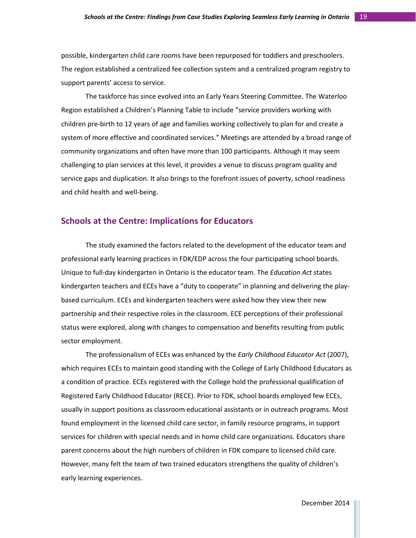possible, kindergarten child care rooms have been repurposed for toddlers and preschoolers. The region established a centralized fee collection system and a centralized program registry to support parents' access to service.

The taskforce has since evolved into an Early Years Steering Committee. The Waterloo Region established a Children's Planning Table to include "service providers working with children pre-birth to 12 years of age and families working collectively to plan for and create a system of more effective and coordinated services." Meetings are attended by a broad range of community organizations and often have more than 100 participants. Although it may seem challenging to plan services at this level, it provides a venue to discuss program quality and service gaps and duplication. It also brings to the forefront issues of poverty, school readiness and child health and well-being.

# **Schools at the Centre: Implications for Educators**

The study examined the factors related to the development of the educator team and professional early learning practices in FDK/EDP across the four participating school boards. Unique to full-day kindergarten in Ontario is the educator team. The *Education Act* states kindergarten teachers and ECEs have a "duty to cooperate" in planning and delivering the playbased curriculum. ECEs and kindergarten teachers were asked how they view their new partnership and their respective roles in the classroom. ECE perceptions of their professional status were explored, along with changes to compensation and benefits resulting from public sector employment.

The professionalism of ECEs was enhanced by the *Early Childhood Educator Act* (2007), which requires ECEs to maintain good standing with the College of Early Childhood Educators as a condition of practice. ECEs registered with the College hold the professional qualification of Registered Early Childhood Educator (RECE). Prior to FDK, school boards employed few ECEs, usually in support positions as classroom educational assistants or in outreach programs. Most found employment in the licensed child care sector, in family resource programs, in support services for children with special needs and in home child care organizations. Educators share parent concerns about the high numbers of children in FDK compare to licensed child care. However, many felt the team of two trained educators strengthens the quality of children's early learning experiences.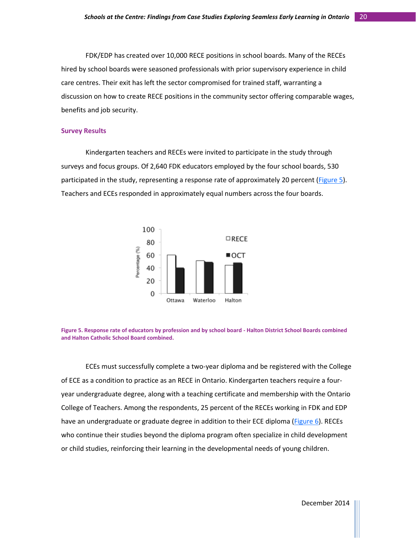FDK/EDP has created over 10,000 RECE positions in school boards. Many of the RECEs hired by school boards were seasoned professionals with prior supervisory experience in child care centres. Their exit has left the sector compromised for trained staff, warranting a discussion on how to create RECE positions in the community sector offering comparable wages, benefits and job security.

#### **Survey Results**

Kindergarten teachers and RECEs were invited to participate in the study through surveys and focus groups. Of 2,640 FDK educators employed by the four school boards, 530 participated in the study, representing a response rate of approximately 20 percent [\(Figure 5\)](#page-15-1). Teachers and ECEs responded in approximately equal numbers across the four boards.





ECEs must successfully complete a two-year diploma and be registered with the College of ECE as a condition to practice as an RECE in Ontario. Kindergarten teachers require a fouryear undergraduate degree, along with a teaching certificate and membership with the Ontario College of Teachers. Among the respondents, 25 percent of the RECEs working in FDK and EDP have an undergraduate or graduate degree in addition to their ECE diploma [\(Figure 6\)](#page-21-0). RECEs who continue their studies beyond the diploma program often specialize in child development or child studies, reinforcing their learning in the developmental needs of young children.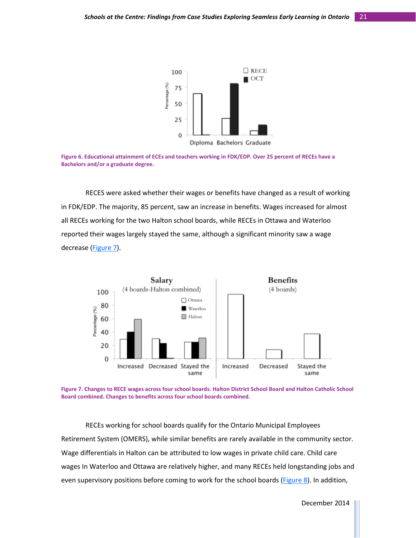

<span id="page-21-0"></span>**Figure 6. Educational attainment of ECEs and teachers working in FDK/EDP. Over 25 percent of RECEs have a Bachelors and/or a graduate degree.**

RECES were asked whether their wages or benefits have changed as a result of working in FDK/EDP. The majority, 85 percent, saw an increase in benefits. Wages increased for almost all RECEs working for the two Halton school boards, while RECEs in Ottawa and Waterloo reported their wages largely stayed the same, although a significant minority saw a wage decrease [\(Figure 7\)](#page-21-1).



<span id="page-21-1"></span>

RECEs working for school boards qualify for the Ontario Municipal Employees Retirement System (OMERS), while similar benefits are rarely available in the community sector. Wage differentials in Halton can be attributed to low wages in private child care. Child care wages In Waterloo and Ottawa are relatively higher, and many RECEs held longstanding jobs and even supervisory positions before coming to work for the school boards [\(Figure 8\)](#page-21-1). In addition,

December 2014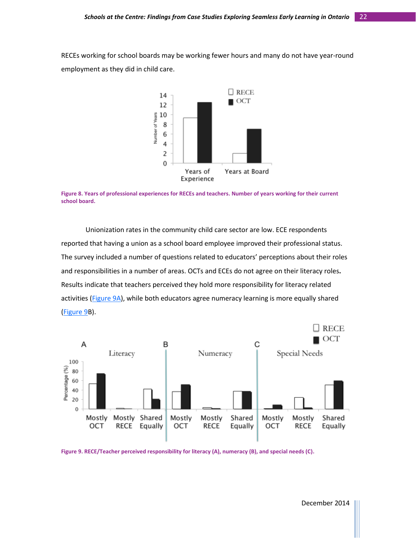RECEs working for school boards may be working fewer hours and many do not have year-round employment as they did in child care.





Unionization rates in the community child care sector are low. ECE respondents reported that having a union as a school board employee improved their professional status. The survey included a number of questions related to educators' perceptions about their roles and responsibilities in a number of areas. OCTs and ECEs do not agree on their literacy roles**.** Results indicate that teachers perceived they hold more responsibility for literacy related activities [\(Figure 9A\)](#page-22-0), while both educators agree numeracy learning is more equally shared [\(Figure 9B](#page-22-0)).



<span id="page-22-0"></span>**Figure 9. RECE/Teacher perceived responsibility for literacy (A), numeracy (B), and special needs (C).**

December 2014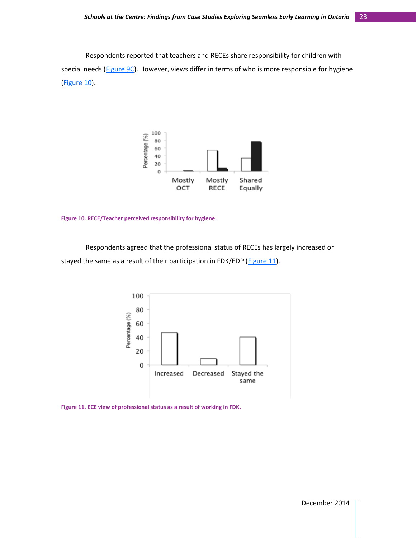Respondents reported that teachers and RECEs share responsibility for children with special needs [\(Figure 9C\)](#page-22-0). However, views differ in terms of who is more responsible for hygiene [\(Figure 10\)](#page-23-0).



<span id="page-23-0"></span>**Figure 10. RECE/Teacher perceived responsibility for hygiene.**

Respondents agreed that the professional status of RECEs has largely increased or stayed the same as a result of their participation in FDK/EDP [\(Figure 11\)](#page-23-1).



<span id="page-23-1"></span>**Figure 11. ECE view of professional status as a result of working in FDK.**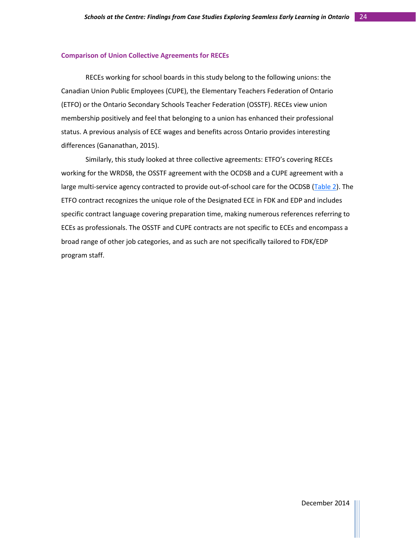#### **Comparison of Union Collective Agreements for RECEs**

RECEs working for school boards in this study belong to the following unions: the Canadian Union Public Employees (CUPE), the Elementary Teachers Federation of Ontario (ETFO) or the Ontario Secondary Schools Teacher Federation (OSSTF). RECEs view union membership positively and feel that belonging to a union has enhanced their professional status. A previous analysis of ECE wages and benefits across Ontario provides interesting differences (Gananathan, 2015).

Similarly, this study looked at three collective agreements: ETFO's covering RECEs working for the WRDSB, the OSSTF agreement with the OCDSB and a CUPE agreement with a large multi-service agency contracted to provide out-of-school care for the OCDSB [\(Table 2\)](#page-25-0). The ETFO contract recognizes the unique role of the Designated ECE in FDK and EDP and includes specific contract language covering preparation time, making numerous references referring to ECEs as professionals. The OSSTF and CUPE contracts are not specific to ECEs and encompass a broad range of other job categories, and as such are not specifically tailored to FDK/EDP program staff.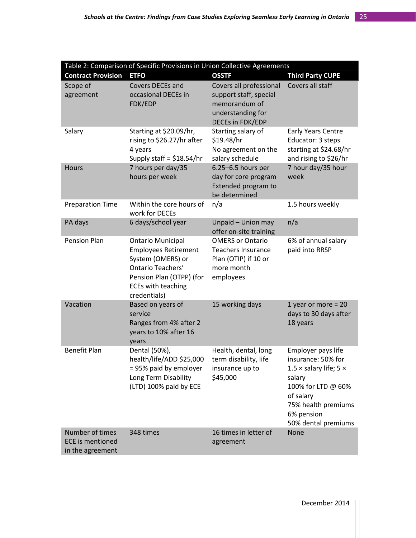<span id="page-25-0"></span>

| Table 2: Comparison of Specific Provisions in Union Collective Agreements |                                                                                                                                                                            |                                                                                                             |                                                                                                                                                                                           |  |  |  |
|---------------------------------------------------------------------------|----------------------------------------------------------------------------------------------------------------------------------------------------------------------------|-------------------------------------------------------------------------------------------------------------|-------------------------------------------------------------------------------------------------------------------------------------------------------------------------------------------|--|--|--|
| <b>Contract Provision</b>                                                 | <b>ETFO</b>                                                                                                                                                                | <b>OSSTF</b>                                                                                                | <b>Third Party CUPE</b>                                                                                                                                                                   |  |  |  |
| Scope of<br>agreement                                                     | <b>Covers DECEs and</b><br>occasional DECEs in<br>FDK/EDP                                                                                                                  | Covers all professional<br>support staff, special<br>memorandum of<br>understanding for<br>DECEs in FDK/EDP | Covers all staff                                                                                                                                                                          |  |  |  |
| Salary                                                                    | Starting at \$20.09/hr,<br>rising to \$26.27/hr after<br>4 years<br>Supply staff = $$18.54/hr$                                                                             | Starting salary of<br>\$19.48/hr<br>No agreement on the<br>salary schedule                                  | <b>Early Years Centre</b><br>Educator: 3 steps<br>starting at \$24.68/hr<br>and rising to \$26/hr                                                                                         |  |  |  |
| Hours                                                                     | 7 hours per day/35<br>hours per week                                                                                                                                       | 6.25-6.5 hours per<br>day for core program<br>Extended program to<br>be determined                          | 7 hour day/35 hour<br>week                                                                                                                                                                |  |  |  |
| <b>Preparation Time</b>                                                   | Within the core hours of<br>work for DECEs                                                                                                                                 | n/a                                                                                                         | 1.5 hours weekly                                                                                                                                                                          |  |  |  |
| PA days                                                                   | 6 days/school year                                                                                                                                                         | Unpaid - Union may<br>offer on-site training                                                                | n/a                                                                                                                                                                                       |  |  |  |
| <b>Pension Plan</b>                                                       | <b>Ontario Municipal</b><br><b>Employees Retirement</b><br>System (OMERS) or<br>Ontario Teachers'<br>Pension Plan (OTPP) (for<br><b>ECEs with teaching</b><br>credentials) | <b>OMERS or Ontario</b><br><b>Teachers Insurance</b><br>Plan (OTIP) if 10 or<br>more month<br>employees     | 6% of annual salary<br>paid into RRSP                                                                                                                                                     |  |  |  |
| Vacation                                                                  | Based on years of<br>service<br>Ranges from 4% after 2<br>years to 10% after 16<br>years                                                                                   | 15 working days                                                                                             | 1 year or more = $20$<br>days to 30 days after<br>18 years                                                                                                                                |  |  |  |
| <b>Benefit Plan</b>                                                       | Dental (50%),<br>health/life/ADD \$25,000<br>= 95% paid by employer<br>Long Term Disability<br>(LTD) 100% paid by ECE                                                      | Health, dental, long<br>term disability, life<br>insurance up to<br>\$45,000                                | Employer pays life<br>insurance: 50% for<br>1.5 $\times$ salary life; 5 $\times$<br>salary<br>100% for LTD @ 60%<br>of salary<br>75% health premiums<br>6% pension<br>50% dental premiums |  |  |  |
| Number of times<br><b>ECE</b> is mentioned<br>in the agreement            | 348 times                                                                                                                                                                  | 16 times in letter of<br>agreement                                                                          | None                                                                                                                                                                                      |  |  |  |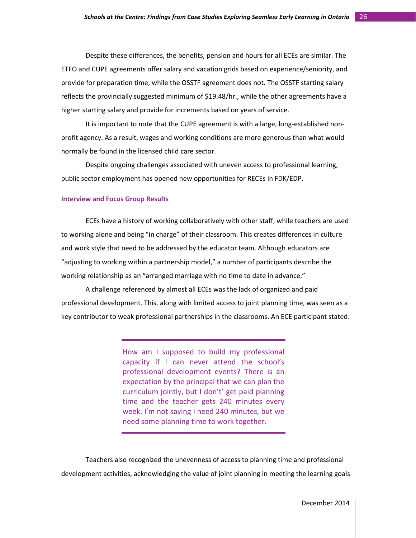Despite these differences, the benefits, pension and hours for all ECEs are similar. The ETFO and CUPE agreements offer salary and vacation grids based on experience/seniority, and provide for preparation time, while the OSSTF agreement does not. The OSSTF starting salary reflects the provincially suggested minimum of \$19.48/hr., while the other agreements have a higher starting salary and provide for increments based on years of service.

It is important to note that the CUPE agreement is with a large, long-established nonprofit agency. As a result, wages and working conditions are more generous than what would normally be found in the licensed child care sector.

Despite ongoing challenges associated with uneven access to professional learning, public sector employment has opened new opportunities for RECEs in FDK/EDP.

#### **Interview and Focus Group Results**

ECEs have a history of working collaboratively with other staff, while teachers are used to working alone and being "in charge" of their classroom. This creates differences in culture and work style that need to be addressed by the educator team. Although educators are "adjusting to working within a partnership model," a number of participants describe the working relationship as an "arranged marriage with no time to date in advance."

A challenge referenced by almost all ECEs was the lack of organized and paid professional development. This, along with limited access to joint planning time, was seen as a key contributor to weak professional partnerships in the classrooms. An ECE participant stated:

> How am I supposed to build my professional capacity if I can never attend the school's professional development events? There is an expectation by the principal that we can plan the curriculum jointly, but I don't' get paid planning time and the teacher gets 240 minutes every week. I'm not saying I need 240 minutes, but we need some planning time to work together.

Teachers also recognized the unevenness of access to planning time and professional development activities, acknowledging the value of joint planning in meeting the learning goals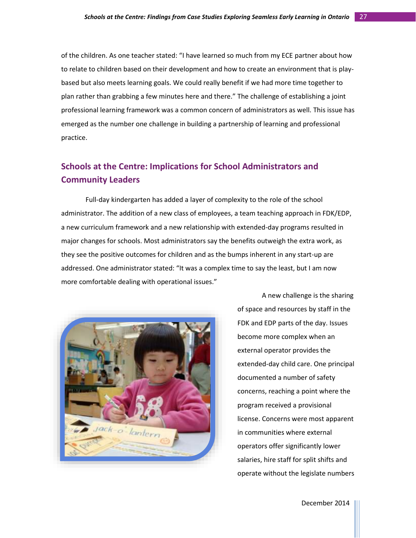of the children. As one teacher stated: "I have learned so much from my ECE partner about how to relate to children based on their development and how to create an environment that is playbased but also meets learning goals. We could really benefit if we had more time together to plan rather than grabbing a few minutes here and there." The challenge of establishing a joint professional learning framework was a common concern of administrators as well. This issue has emerged as the number one challenge in building a partnership of learning and professional practice.

# **Schools at the Centre: Implications for School Administrators and Community Leaders**

Full-day kindergarten has added a layer of complexity to the role of the school administrator. The addition of a new class of employees, a team teaching approach in FDK/EDP, a new curriculum framework and a new relationship with extended-day programs resulted in major changes for schools. Most administrators say the benefits outweigh the extra work, as they see the positive outcomes for children and as the bumps inherent in any start-up are addressed. One administrator stated: "It was a complex time to say the least, but I am now more comfortable dealing with operational issues."



A new challenge is the sharing of space and resources by staff in the FDK and EDP parts of the day. Issues become more complex when an external operator provides the extended-day child care. One principal documented a number of safety concerns, reaching a point where the program received a provisional license. Concerns were most apparent in communities where external operators offer significantly lower salaries, hire staff for split shifts and operate without the legislate numbers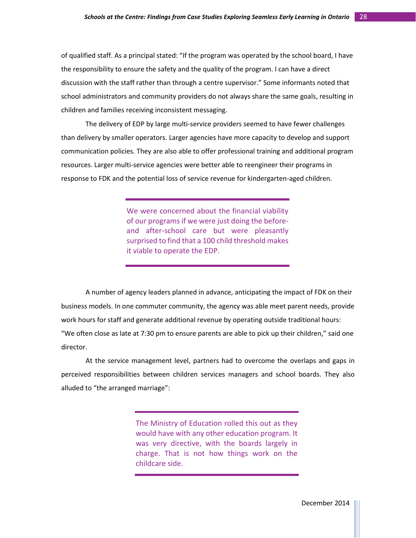of qualified staff. As a principal stated: "If the program was operated by the school board, I have the responsibility to ensure the safety and the quality of the program. I can have a direct discussion with the staff rather than through a centre supervisor." Some informants noted that school administrators and community providers do not always share the same goals, resulting in children and families receiving inconsistent messaging.

The delivery of EDP by large multi-service providers seemed to have fewer challenges than delivery by smaller operators. Larger agencies have more capacity to develop and support communication policies. They are also able to offer professional training and additional program resources. Larger multi-service agencies were better able to reengineer their programs in response to FDK and the potential loss of service revenue for kindergarten-aged children.

> We were concerned about the financial viability of our programs if we were just doing the beforeand after-school care but were pleasantly surprised to find that a 100 child threshold makes it viable to operate the EDP.

A number of agency leaders planned in advance, anticipating the impact of FDK on their business models. In one commuter community, the agency was able meet parent needs, provide work hours for staff and generate additional revenue by operating outside traditional hours: "We often close as late at 7:30 pm to ensure parents are able to pick up their children," said one director.

At the service management level, partners had to overcome the overlaps and gaps in perceived responsibilities between children services managers and school boards. They also alluded to "the arranged marriage":

> The Ministry of Education rolled this out as they would have with any other education program. It was very directive, with the boards largely in charge. That is not how things work on the childcare side.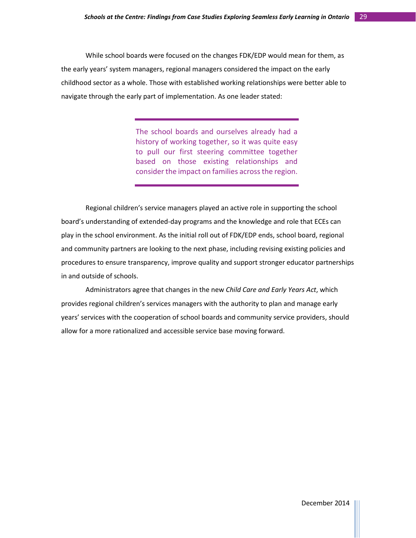While school boards were focused on the changes FDK/EDP would mean for them, as the early years' system managers, regional managers considered the impact on the early childhood sector as a whole. Those with established working relationships were better able to navigate through the early part of implementation. As one leader stated:

> The school boards and ourselves already had a history of working together, so it was quite easy to pull our first steering committee together based on those existing relationships and consider the impact on families across the region.

Regional children's service managers played an active role in supporting the school board's understanding of extended-day programs and the knowledge and role that ECEs can play in the school environment. As the initial roll out of FDK/EDP ends, school board, regional and community partners are looking to the next phase, including revising existing policies and procedures to ensure transparency, improve quality and support stronger educator partnerships in and outside of schools.

Administrators agree that changes in the new *Child Care and Early Years Act*, which provides regional children's services managers with the authority to plan and manage early years' services with the cooperation of school boards and community service providers, should allow for a more rationalized and accessible service base moving forward.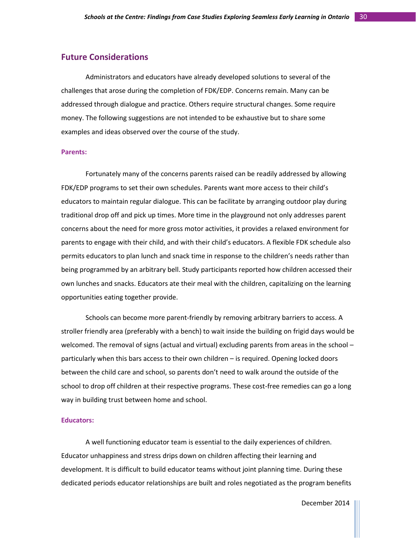#### **Future Considerations**

Administrators and educators have already developed solutions to several of the challenges that arose during the completion of FDK/EDP. Concerns remain. Many can be addressed through dialogue and practice. Others require structural changes. Some require money. The following suggestions are not intended to be exhaustive but to share some examples and ideas observed over the course of the study.

#### **Parents:**

Fortunately many of the concerns parents raised can be readily addressed by allowing FDK/EDP programs to set their own schedules. Parents want more access to their child's educators to maintain regular dialogue. This can be facilitate by arranging outdoor play during traditional drop off and pick up times. More time in the playground not only addresses parent concerns about the need for more gross motor activities, it provides a relaxed environment for parents to engage with their child, and with their child's educators. A flexible FDK schedule also permits educators to plan lunch and snack time in response to the children's needs rather than being programmed by an arbitrary bell. Study participants reported how children accessed their own lunches and snacks. Educators ate their meal with the children, capitalizing on the learning opportunities eating together provide.

Schools can become more parent-friendly by removing arbitrary barriers to access. A stroller friendly area (preferably with a bench) to wait inside the building on frigid days would be welcomed. The removal of signs (actual and virtual) excluding parents from areas in the school – particularly when this bars access to their own children – is required. Opening locked doors between the child care and school, so parents don't need to walk around the outside of the school to drop off children at their respective programs. These cost-free remedies can go a long way in building trust between home and school.

#### **Educators:**

A well functioning educator team is essential to the daily experiences of children. Educator unhappiness and stress drips down on children affecting their learning and development. It is difficult to build educator teams without joint planning time. During these dedicated periods educator relationships are built and roles negotiated as the program benefits

December 2014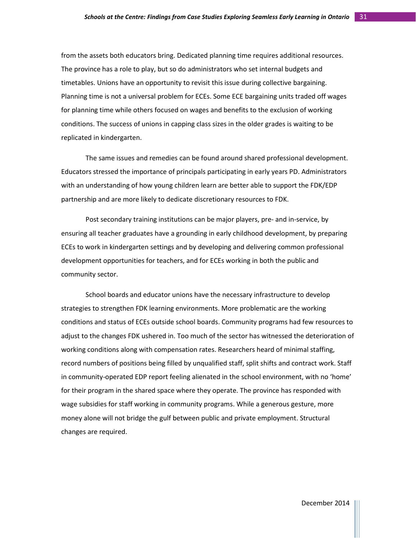from the assets both educators bring. Dedicated planning time requires additional resources. The province has a role to play, but so do administrators who set internal budgets and timetables. Unions have an opportunity to revisit this issue during collective bargaining. Planning time is not a universal problem for ECEs. Some ECE bargaining units traded off wages for planning time while others focused on wages and benefits to the exclusion of working conditions. The success of unions in capping class sizes in the older grades is waiting to be replicated in kindergarten.

The same issues and remedies can be found around shared professional development. Educators stressed the importance of principals participating in early years PD. Administrators with an understanding of how young children learn are better able to support the FDK/EDP partnership and are more likely to dedicate discretionary resources to FDK.

Post secondary training institutions can be major players, pre- and in-service, by ensuring all teacher graduates have a grounding in early childhood development, by preparing ECEs to work in kindergarten settings and by developing and delivering common professional development opportunities for teachers, and for ECEs working in both the public and community sector.

School boards and educator unions have the necessary infrastructure to develop strategies to strengthen FDK learning environments. More problematic are the working conditions and status of ECEs outside school boards. Community programs had few resources to adjust to the changes FDK ushered in. Too much of the sector has witnessed the deterioration of working conditions along with compensation rates. Researchers heard of minimal staffing, record numbers of positions being filled by unqualified staff, split shifts and contract work. Staff in community-operated EDP report feeling alienated in the school environment, with no 'home' for their program in the shared space where they operate. The province has responded with wage subsidies for staff working in community programs. While a generous gesture, more money alone will not bridge the gulf between public and private employment. Structural changes are required.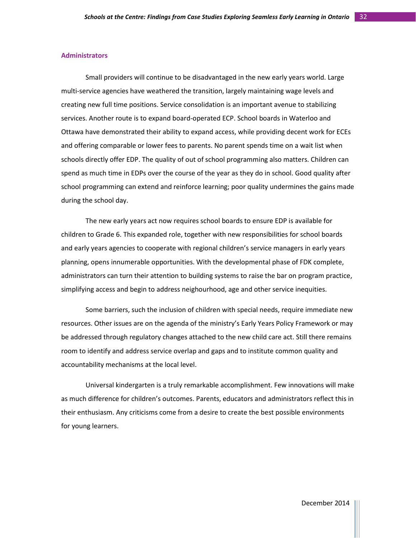#### **Administrators**

Small providers will continue to be disadvantaged in the new early years world. Large multi-service agencies have weathered the transition, largely maintaining wage levels and creating new full time positions. Service consolidation is an important avenue to stabilizing services. Another route is to expand board-operated ECP. School boards in Waterloo and Ottawa have demonstrated their ability to expand access, while providing decent work for ECEs and offering comparable or lower fees to parents. No parent spends time on a wait list when schools directly offer EDP. The quality of out of school programming also matters. Children can spend as much time in EDPs over the course of the year as they do in school. Good quality after school programming can extend and reinforce learning; poor quality undermines the gains made during the school day.

The new early years act now requires school boards to ensure EDP is available for children to Grade 6. This expanded role, together with new responsibilities for school boards and early years agencies to cooperate with regional children's service managers in early years planning, opens innumerable opportunities. With the developmental phase of FDK complete, administrators can turn their attention to building systems to raise the bar on program practice, simplifying access and begin to address neighourhood, age and other service inequities.

Some barriers, such the inclusion of children with special needs, require immediate new resources. Other issues are on the agenda of the ministry's Early Years Policy Framework or may be addressed through regulatory changes attached to the new child care act. Still there remains room to identify and address service overlap and gaps and to institute common quality and accountability mechanisms at the local level.

Universal kindergarten is a truly remarkable accomplishment. Few innovations will make as much difference for children's outcomes. Parents, educators and administrators reflect this in their enthusiasm. Any criticisms come from a desire to create the best possible environments for young learners.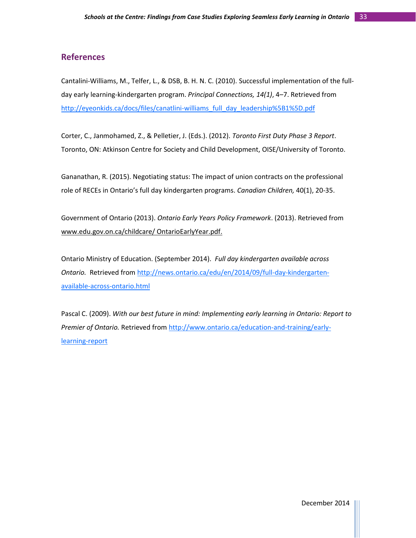# **References**

Cantalini-Williams, M., Telfer, L., & DSB, B. H. N. C. (2010). Successful implementation of the fullday early learning-kindergarten program. *Principal Connections, 14(1)*, 4–7. Retrieved from [http://eyeonkids.ca/docs/files/canatlini-williams\\_full\\_day\\_leadership%5B1%5D.pdf](http://eyeonkids.ca/docs/files/canatlini-williams_full_day_leadership%5B1%5D.pdf)

Corter, C., Janmohamed, Z., & Pelletier, J. (Eds.). (2012). *Toronto First Duty Phase 3 Report*. Toronto, ON: Atkinson Centre for Society and Child Development, OISE/University of Toronto.

Gananathan, R. (2015). Negotiating status: The impact of union contracts on the professional role of RECEs in Ontario's full day kindergarten programs. *Canadian Children,* 40(1), 20-35.

Government of Ontario (2013). *Ontario Early Years Policy Framework*. (2013). Retrieved from www.edu.gov.on.ca/childcare/ OntarioEarlyYear.pdf.

Ontario Ministry of Education. (September 2014). *Full day kindergarten available across Ontario.* Retrieved from [http://news.ontario.ca/edu/en/2014/09/full-day-kindergarten](http://news.ontario.ca/edu/en/2014/09/full-day-kindergarten-available-across-ontario.html)[available-across-ontario.html](http://news.ontario.ca/edu/en/2014/09/full-day-kindergarten-available-across-ontario.html)

Pascal C. (2009). *With our best future in mind: Implementing early learning in Ontario: Report to Premier of Ontario.* Retrieved from [http://www.ontario.ca/education-and-training/early](http://www.ontario.ca/education-and-training/early-learning-report)[learning-report](http://www.ontario.ca/education-and-training/early-learning-report)